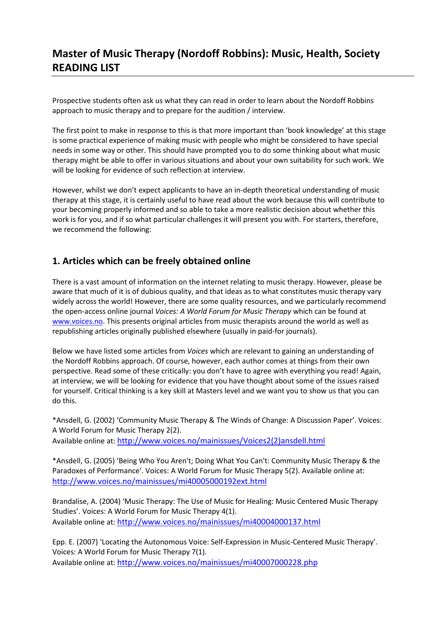# **Master of Music Therapy (Nordoff Robbins): Music, Health, Society READING LIST**

Prospective students often ask us what they can read in order to learn about the Nordoff Robbins approach to music therapy and to prepare for the audition / interview.

The first point to make in response to this is that more important than 'book knowledge' at this stage is some practical experience of making music with people who might be considered to have special needs in some way or other. This should have prompted you to do some thinking about what music therapy might be able to offer in various situations and about your own suitability for such work. We will be looking for evidence of such reflection at interview.

However, whilst we don't expect applicants to have an in-depth theoretical understanding of music therapy at this stage, it is certainly useful to have read about the work because this will contribute to your becoming properly informed and so able to take a more realistic decision about whether this work is for you, and if so what particular challenges it will present you with. For starters, therefore, we recommend the following:

## **1. Articles which can be freely obtained online**

There is a vast amount of information on the internet relating to music therapy. However, please be aware that much of it is of dubious quality, and that ideas as to what constitutes music therapy vary widely across the world! However, there are some quality resources, and we particularly recommend the open-access online journal *Voices: A World Forum for Music Therapy* which can be found at [www.voices.no.](http://www.voices.no/) This presents original articles from music therapists around the world as well as republishing articles originally published elsewhere (usually in paid-for journals).

Below we have listed some articles from *Voices* which are relevant to gaining an understanding of the Nordoff Robbins approach. Of course, however, each author comes at things from their own perspective. Read some of these critically: you don't have to agree with everything you read! Again, at interview, we will be looking for evidence that you have thought about some of the issues raised for yourself. Critical thinking is a key skill at Masters level and we want you to show us that you can do this.

\*Ansdell, G. (2002) 'Community Music Therapy & The Winds of Change: A Discussion Paper'. Voices: A World Forum for Music Therapy 2(2). Available online at: [http://www.voices.no/mainissues/Voices2\(2\)ansdell.html](http://www.voices.no/mainissues/Voices2(2)ansdell.html)

\*Ansdell, G. (2005) 'Being Who You Aren't; Doing What You Can't: Community Music Therapy & the Paradoxes of Performance'. Voices: A World Forum for Music Therapy 5(2). Available online at: <http://www.voices.no/mainissues/mi40005000192ext.html>

Brandalise, A. (2004) 'Music Therapy: The Use of Music for Healing: Music Centered Music Therapy Studies'. Voices: A World Forum for Music Therapy 4(1). Available online at:<http://www.voices.no/mainissues/mi40004000137.html>

Epp. E. (2007) 'Locating the Autonomous Voice: Self-Expression in Music-Centered Music Therapy'. Voices: A World Forum for Music Therapy 7(1). Available online at:<http://www.voices.no/mainissues/mi40007000228.php>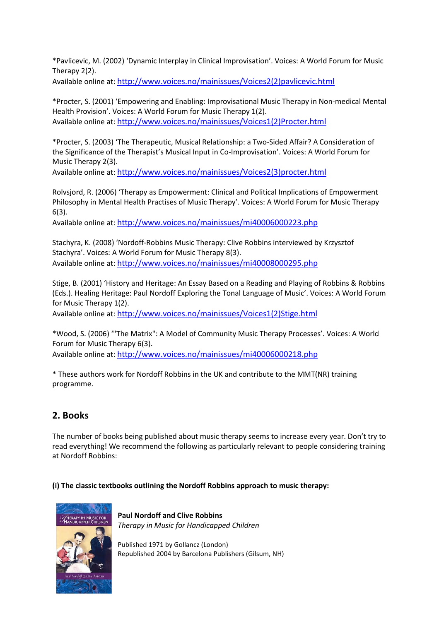\*Pavlicevic, M. (2002) 'Dynamic Interplay in Clinical Improvisation'. Voices: A World Forum for Music Therapy 2(2).

Available online at: [http://www.voices.no/mainissues/Voices2\(2\)pavlicevic.html](http://www.voices.no/mainissues/Voices2(2)pavlicevic.html)

\*Procter, S. (2001) 'Empowering and Enabling: Improvisational Music Therapy in Non-medical Mental Health Provision'. Voices: A World Forum for Music Therapy 1(2). Available online at: [http://www.voices.no/mainissues/Voices1\(2\)Procter.html](http://www.voices.no/mainissues/Voices1(2)Procter.html)

\*Procter, S. (2003) 'The Therapeutic, Musical Relationship: a Two-Sided Affair? A Consideration of the Significance of the Therapist's Musical Input in Co-Improvisation'. Voices: A World Forum for Music Therapy 2(3).

Available online at: [http://www.voices.no/mainissues/Voices2\(3\)procter.html](http://www.voices.no/mainissues/Voices2(3)procter.html)

Rolvsjord, R. (2006) 'Therapy as Empowerment: Clinical and Political Implications of Empowerment Philosophy in Mental Health Practises of Music Therapy'. Voices: A World Forum for Music Therapy 6(3).

Available online at:<http://www.voices.no/mainissues/mi40006000223.php>

Stachyra, K. (2008) 'Nordoff-Robbins Music Therapy: Clive Robbins interviewed by Krzysztof Stachyra'. Voices: A World Forum for Music Therapy 8(3). Available online at:<http://www.voices.no/mainissues/mi40008000295.php>

Stige, B. (2001) 'History and Heritage: An Essay Based on a Reading and Playing of Robbins & Robbins (Eds.). Healing Heritage: Paul Nordoff Exploring the Tonal Language of Music'. Voices: A World Forum for Music Therapy 1(2).

Available online at: [http://www.voices.no/mainissues/Voices1\(2\)Stige.html](http://www.voices.no/mainissues/Voices1(2)Stige.html)

\*Wood, S. (2006) '"The Matrix": A Model of Community Music Therapy Processes'. Voices: A World Forum for Music Therapy 6(3).

Available online at:<http://www.voices.no/mainissues/mi40006000218.php>

\* These authors work for Nordoff Robbins in the UK and contribute to the MMT(NR) training programme.

## **2. Books**

The number of books being published about music therapy seems to increase every year. Don't try to read everything! We recommend the following as particularly relevant to people considering training at Nordoff Robbins:

**(i) The classic textbooks outlining the Nordoff Robbins approach to music therapy:**



**Paul Nordoff and Clive Robbins** *Therapy in Music for Handicapped Children*

Published 1971 by Gollancz (London) Republished 2004 by Barcelona Publishers (Gilsum, NH)